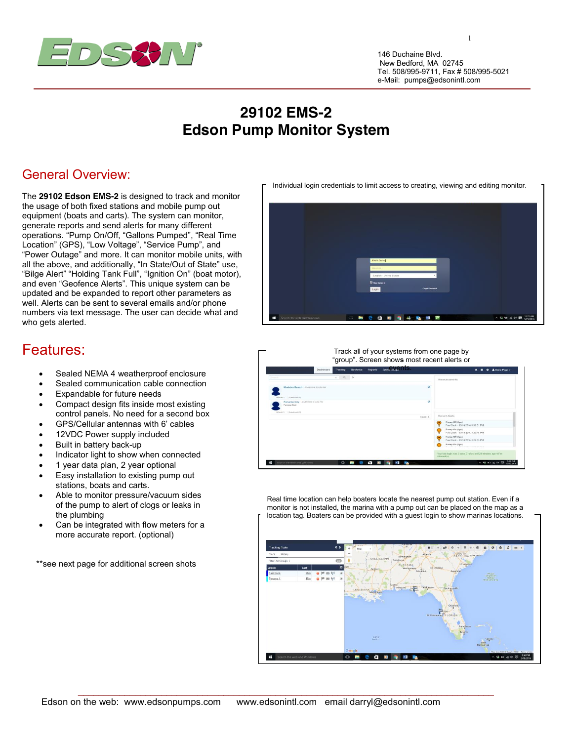

146 Duchaine Blvd. New Bedford, MA 02745 Tel. 508/995-9711, Fax # 508/995-5021 e-Mail: pumps@edsonintl.com

1

## **29102 EMS-2 Edson Pump Monitor System**

## General Overview:

The **29102 Edson EMS-2** is designed to track and monitor the usage of both fixed stations and mobile pump out equipment (boats and carts). The system can monitor, generate reports and send alerts for many different operations. "Pump On/Off, "Gallons Pumped", "Real Time Location" (GPS), "Low Voltage", "Service Pump", and "Power Outage" and more. It can monitor mobile units, with all the above, and additionally, "In State/Out of State" use, "Bilge Alert" "Holding Tank Full", "Ignition On" (boat motor), and even "Geofence Alerts". This unique system can be updated and be expanded to report other parameters as well. Alerts can be sent to several emails and/or phone numbers via text message. The user can decide what and who gets alerted.

## Features:

- Sealed NEMA 4 weatherproof enclosure
- Sealed communication cable connection
- Expandable for future needs
- Compact design fits inside most existing control panels. No need for a second box
- GPS/Cellular antennas with 6' cables
- 12VDC Power supply included
- Built in battery back-up
- Indicator light to show when connected
- 1 year data plan, 2 year optional
- Easy installation to existing pump out stations, boats and carts.
- Able to monitor pressure/vacuum sides of the pump to alert of clogs or leaks in the plumbing
- Can be integrated with flow meters for a more accurate report. (optional)

\*\*see next page for additional screen shots



|                                                             | Reports<br>Dashboard<br>Tracking<br>Geofence | see CVCTIS                                          | <b>R</b> Demo Page +<br>∙<br>$\bullet$ |
|-------------------------------------------------------------|----------------------------------------------|-----------------------------------------------------|----------------------------------------|
| Timester                                                    | $\mathbb{R}$ $\alpha$ $\rightarrow$          | Announcements                                       |                                        |
| ۰<br>Madeira Beach Calcionis Essain PM                      |                                              |                                                     |                                        |
| Metacact)   Supplementary                                   |                                              |                                                     |                                        |
| Panama City - ES150316 3 55.50 PM<br><b>Permanent Booth</b> |                                              | a                                                   |                                        |
| Whench [ S.aisbush(1)                                       |                                              | Recent Alerta<br>Count 2                            |                                        |
|                                                             |                                              | Pamp Off (lan)<br>Fuel Dock - 03/18/2016 3:30:51 PM |                                        |
|                                                             |                                              | Pump On (lan)<br>Fuel Dock - 03/18/2016 3:29:45 PM  |                                        |
|                                                             |                                              | Pamp Off Bon)<br>Fuel Dock - 03/18/2016 3:29:33 PM  |                                        |
|                                                             |                                              | Pump On (Ign)                                       |                                        |

Real time location can help boaters locate the nearest pump out station. Even if a monitor is not installed, the marina with a pump out can be placed on the map as a location tag. Boaters can be provided with a guest login to show marinas locations.



Individual login credentials to limit access to creating, viewing and editing monitor.

 $\_$  ,  $\_$  ,  $\_$  ,  $\_$  ,  $\_$  ,  $\_$  ,  $\_$  ,  $\_$  ,  $\_$  ,  $\_$  ,  $\_$  ,  $\_$  ,  $\_$  ,  $\_$  ,  $\_$  ,  $\_$  ,  $\_$  ,  $\_$  ,  $\_$  ,  $\_$  ,  $\_$  ,  $\_$  ,  $\_$  ,  $\_$  ,  $\_$  ,  $\_$  ,  $\_$  ,  $\_$  ,  $\_$  ,  $\_$  ,  $\_$  ,  $\_$  ,  $\_$  ,  $\_$  ,  $\_$  ,  $\_$  ,  $\_$  ,